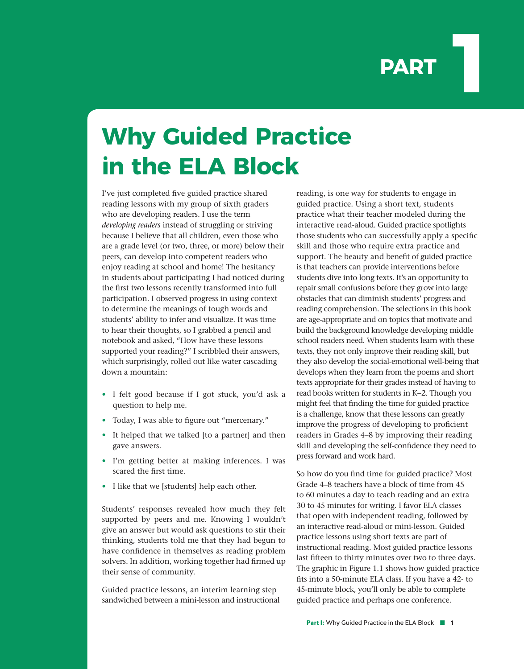## **PART**

## **Why Guided Practice in the ELA Block**

I've just completed five guided practice shared reading lessons with my group of sixth graders who are developing readers. I use the term *developing readers* instead of struggling or striving because I believe that all children, even those who are a grade level (or two, three, or more) below their peers, can develop into competent readers who enjoy reading at school and home! The hesitancy in students about participating I had noticed during the first two lessons recently transformed into full participation. I observed progress in using context to determine the meanings of tough words and students' ability to infer and visualize. It was time to hear their thoughts, so I grabbed a pencil and notebook and asked, "How have these lessons supported your reading?" I scribbled their answers, which surprisingly, rolled out like water cascading down a mountain:

- I felt good because if I got stuck, you'd ask a question to help me.
- Today, I was able to figure out "mercenary."
- It helped that we talked [to a partner] and then gave answers.
- I'm getting better at making inferences. I was scared the first time.
- I like that we [students] help each other.

Students' responses revealed how much they felt supported by peers and me. Knowing I wouldn't give an answer but would ask questions to stir their thinking, students told me that they had begun to have confidence in themselves as reading problem solvers. In addition, working together had firmed up their sense of community.

Guided practice lessons, an interim learning step sandwiched between a mini-lesson and instructional reading, is one way for students to engage in guided practice. Using a short text, students practice what their teacher modeled during the interactive read-aloud. Guided practice spotlights those students who can successfully apply a specific skill and those who require extra practice and support. The beauty and benefit of guided practice is that teachers can provide interventions before students dive into long texts. It's an opportunity to repair small confusions before they grow into large obstacles that can diminish students' progress and reading comprehension. The selections in this book are age-appropriate and on topics that motivate and build the background knowledge developing middle school readers need. When students learn with these texts, they not only improve their reading skill, but they also develop the social-emotional well-being that develops when they learn from the poems and short texts appropriate for their grades instead of having to read books written for students in K−2. Though you might feel that finding the time for guided practice is a challenge, know that these lessons can greatly improve the progress of developing to proficient readers in Grades 4–8 by improving their reading skill and developing the self-confidence they need to press forward and work hard.

So how do you find time for guided practice? Most Grade 4–8 teachers have a block of time from 45 to 60 minutes a day to teach reading and an extra 30 to 45 minutes for writing. I favor ELA classes that open with independent reading, followed by an interactive read-aloud or mini-lesson. Guided practice lessons using short texts are part of instructional reading. Most guided practice lessons last fifteen to thirty minutes over two to three days. The graphic in Figure 1.1 shows how guided practice fits into a 50-minute ELA class. If you have a 42- to 45-minute block, you'll only be able to complete guided practice and perhaps one conference.